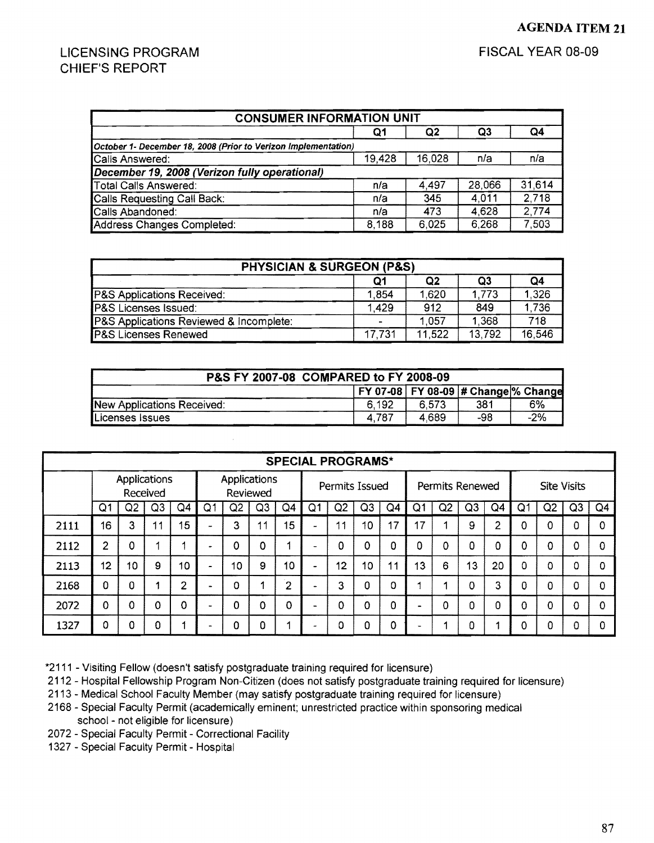## LICENSING PROGRAM CHIEF'S REPORT

| <b>CONSUMER INFORMATION UNIT</b>                               |        |        |        |        |  |  |  |  |  |
|----------------------------------------------------------------|--------|--------|--------|--------|--|--|--|--|--|
|                                                                | Q1     | Q2     | Q3     | Q4     |  |  |  |  |  |
| October 1- December 18, 2008 (Prior to Verizon Implementation) |        |        |        |        |  |  |  |  |  |
| Calls Answered:                                                | 19.428 | 16,028 | n/a    | n/a    |  |  |  |  |  |
| December 19, 2008 (Verizon fully operational)                  |        |        |        |        |  |  |  |  |  |
| Total Calls Answered:                                          | n/a    | 4,497  | 28,066 | 31,614 |  |  |  |  |  |
| Calls Requesting Call Back:                                    | n/a    | 345    | 4.011  | 2,718  |  |  |  |  |  |
| Calls Abandoned:                                               | n/a    | 473    | 4,628  | 2,774  |  |  |  |  |  |
| Address Changes Completed:                                     | 8,188  | 6,025  | 6,268  | 7,503  |  |  |  |  |  |

| <b>PHYSICIAN &amp; SURGEON (P&amp;S)</b> |        |        |        |        |  |  |  |  |  |  |
|------------------------------------------|--------|--------|--------|--------|--|--|--|--|--|--|
| Q2<br>Q3<br>Q4<br>Ο1                     |        |        |        |        |  |  |  |  |  |  |
| P&S Applications Received:               | 1.854  | 1.620  | 1.773  | 1.326  |  |  |  |  |  |  |
| <b>IP&amp;S Licenses Issued:</b>         | 1.429  | 912    | 849    | 1.736  |  |  |  |  |  |  |
| P&S Applications Reviewed & Incomplete:  |        | 1.057  | 1.368  | 718    |  |  |  |  |  |  |
| <b>P&amp;S Licenses Renewed</b>          | 17.731 | 11.522 | 13.792 | 16.546 |  |  |  |  |  |  |

| P&S FY 2007-08 COMPARED to FY 2008-09 |                                            |       |      |       |  |  |  |  |  |  |
|---------------------------------------|--------------------------------------------|-------|------|-------|--|--|--|--|--|--|
|                                       | <b>FY 07-08 FY 08-09 # Change % Change</b> |       |      |       |  |  |  |  |  |  |
| New Applications Received:            | 6.192                                      | 6.573 | -381 | 6%    |  |  |  |  |  |  |
| Licenses Issues                       | 4.787                                      | 4.689 | -98  | $-2%$ |  |  |  |  |  |  |

|      | <b>SPECIAL PROGRAMS*</b>        |    |                |          |                |                          |     |                |                |    |                |    |                |                 |          |                |    |                    |          |                |
|------|---------------------------------|----|----------------|----------|----------------|--------------------------|-----|----------------|----------------|----|----------------|----|----------------|-----------------|----------|----------------|----|--------------------|----------|----------------|
|      | <b>Applications</b><br>Received |    |                |          |                | Applications<br>Reviewed |     |                | Permits Issued |    |                |    |                | Permits Renewed |          |                |    | <b>Site Visits</b> |          |                |
|      | Q1                              | Q2 | Q <sub>3</sub> | Q4       | Q <sub>1</sub> | Q2                       | Q3  | Q4             | Q <sub>1</sub> | Q2 | Q <sub>3</sub> | Q4 | Q <sub>1</sub> | Q2              | Q3       | Q <sub>4</sub> | O. | Q2                 | Q3       | Q <sub>4</sub> |
| 2111 | 16                              | 3  | 11             | 15       |                | 3                        | -11 | 15             | ÷              | 11 | 10             | 17 | 17             |                 | 9        | 2              | Ω  | 0                  | 0        | Ω              |
| 2112 | 2                               | 0  |                |          |                | 0                        | 0   | 4              |                | n  | 0              | 0  | 0              | 0               | $\Omega$ | Ω              | 0  | 0                  | Ω        | 0              |
| 2113 | 12                              | 10 | 9              | 10       |                | 10                       | 9   | 10             | -              | 12 | 10             | 11 | 13             | 6               | 13       | 20             | O  | 0                  | $\Omega$ | 0              |
| 2168 | 0                               | Ω  |                | 2        |                | 0                        |     | $\overline{2}$ |                | 3  | 0              | 0  |                |                 | 0        | 3              | Ω  | 0                  | $\Omega$ | Ω              |
| 2072 | 0                               | Ω  | Ω              | $\Omega$ |                | 0                        | 0   | 0              | $\blacksquare$ | Ω  | $\Omega$       | 0  |                | 0               | 0        | Ω              | Ω  | 0                  | 0        | 0              |
| 1327 | 0                               | Ω  | O              |          |                | 0                        | 0   |                |                | n  | 0              | 0  |                |                 | 0        |                | Ω  | 0                  | 0        |                |

\*2111 - Visiting Fellow (doesn't satisfy postgraduate training required for licensure)

2112 - Hospital Fellowship Program Non-Citizen (does not satisfy postgraduate training required for licensure)

2113 - Medical School Faculty Member (may satisfy postgraduate training required for licensure)

2168 - Special Faculty Permit (academically eminent; unrestricted practice within sponsoring medical school - not eligible for licensure)

2072 - Special Faculty Permit - Correctional Facility

1327 - Special Faculty Permit - Hospital